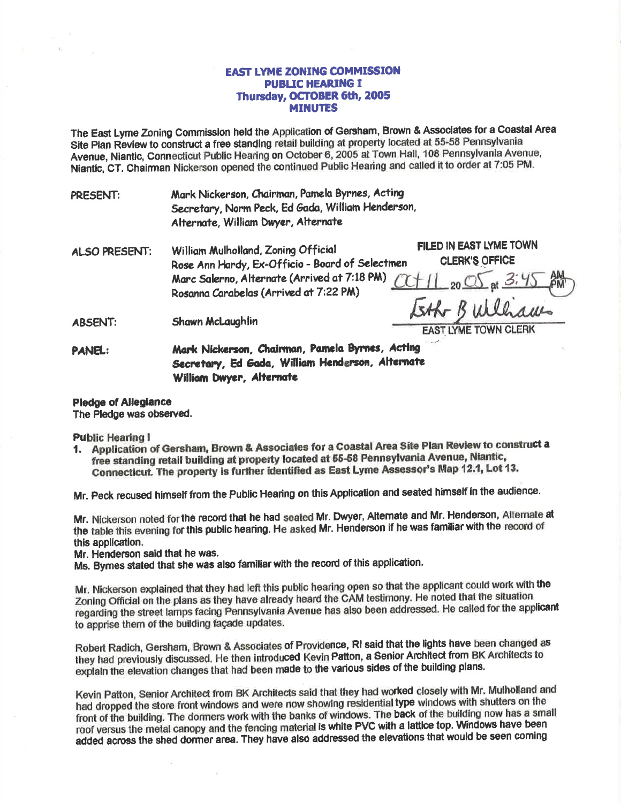## **EAST LYME ZONING COMMISSION PUBLIC HEARING I** Thursday, OCTOBER 6th, 2005 **MINUTES**

The East Lyme Zoning Commission held the Application of Gersham, Brown & Associates for a Coastal Area Site Plan Review to construct a free standing retail building at property located at 55-58 Pennsylvania Avenue, Niantic, Connecticut Public Hearing on October 6, 2005 at Town Hall, 108 Pennsylvania Avenue, Niantic, CT. Chairman Nickerson opened the continued Public Hearing and called it to order at 7:05 PM.

Mark Nickerson, Chairman, Pamela Byrnes, Acting **PRESENT:** Secretary, Norm Peck, Ed Gada, William Henderson, Alternate, William Dwyer, Alternate

| ALSO PRESENT:  | William Mulholland, Zoning Official<br>Rose Ann Hardy, Ex-Officio - Board of Selectmen                                             | <b>FILED IN EAST LYME TOWN</b><br><b>CLERK'S OFFICE</b> |
|----------------|------------------------------------------------------------------------------------------------------------------------------------|---------------------------------------------------------|
|                | Marc Salerno, Alternate (Arrived at 7:18 PM) $\frac{C+11}{20}$ of $\frac{3.45}{4.3}$ PM)<br>Rosanna Carabelas (Arrived at 7:22 PM) |                                                         |
| <b>ADCENT.</b> | Shown Mel quablin                                                                                                                  | Eth Bulliams                                            |

Shawn McLaughiin **ABDENT:** 

**EAST LYME TOWN CLERK** 

Mark Nickerson, Chairman, Pamela Byrnes, Acting **PANEL:** Secretary, Ed Gada, William Henderson, Alternate William Dwyer, Alternate

**Pledge of Allegiance** 

The Pledge was observed.

**Public Hearing I** 

1. Application of Gersham, Brown & Associates for a Coastal Area Site Plan Review to construct a free standing retail building at property located at 55-58 Pennsylvania Avenue, Niantic, Connecticut. The property is further identified as East Lyme Assessor's Map 12.1, Lot 13.

Mr. Peck recused himself from the Public Hearing on this Application and seated himself in the audience.

Mr. Nickerson noted for the record that he had seated Mr. Dwyer, Alternate and Mr. Henderson, Alternate at the table this evening for this public hearing. He asked Mr. Henderson if he was familiar with the record of this application.

Mr. Henderson said that he was.

Ms. Bymes stated that she was also familiar with the record of this application.

Mr. Nickerson explained that they had left this public hearing open so that the applicant could work with the Zoning Official on the plans as they have already heard the CAM testimony. He noted that the situation regarding the street lamps facing Pennsylvania Avenue has also been addressed. He called for the applicant to apprise them of the building facade updates.

Robert Radich, Gersham, Brown & Associates of Providence, RI said that the lights have been changed as they had previously discussed. He then introduced Kevin Patton, a Senior Architect from BK Architects to explain the elevation changes that had been made to the various sides of the building plans.

Kevin Patton, Senior Architect from BK Architects said that they had worked closely with Mr. Mulholland and had dropped the store front windows and were now showing residential type windows with shutters on the front of the building. The dormers work with the banks of windows. The back of the building now has a small roof versus the metal canopy and the fencing material is white PVC with a lattice top. Windows have been added across the shed dormer area. They have also addressed the elevations that would be seen coming